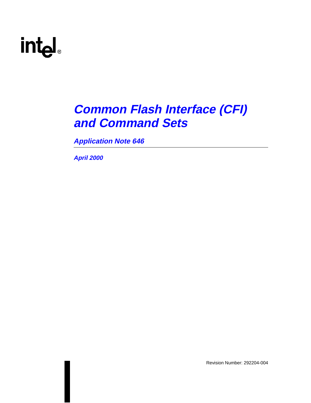# intd.

### **Common Flash Interface (CFI) and Command Sets**

**Application Note 646**

**April 2000**

Revision Number: 292204-004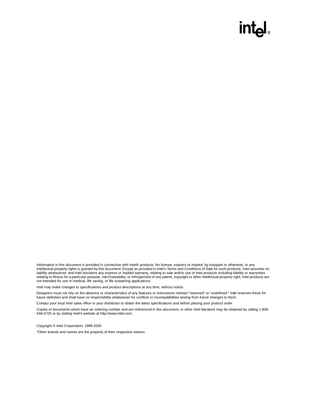### intیi

Information in this document is provided in connection with Intel® products. No license, express or implied, by estoppel or otherwise, to any intellectual property rights is granted by this document. Except as provided in Intel's Terms and Conditions of Sale for such products, Intel assumes no liability whatsoever, and Intel disclaims any express or implied warranty, relating to sale and/or use of Intel products including liability or warranties relating to fitness for a particular purpose, merchantability, or infringement of any patent, copyright or other intellectual property right. Intel products are not intended for use in medical, life saving, or life sustaining applications.

Intel may make changes to specifications and product descriptions at any time, without notice.

Designers must not rely on the absence or characteristics of any features or instructions marked "reserved" or "undefined." Intel reserves these for future definition and shall have no responsibility whatsoever for conflicts or incompatibilities arising from future changes to them.

Contact your local Intel sales office or your distributor to obtain the latest specifications and before placing your product order.

Copies of documents which have an ordering number and are referenced in this document, or other Intel literature may be obtained by calling 1-800- 548-4725 or by visiting Intel's website at http://www.intel.com.

Copyright © Intel Corporation, 1999-2000

\*Other brands and names are the property of their respective owners.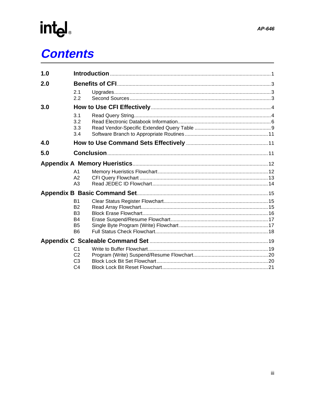# int<sub>e</sub><br>Contents

| 1.0 |                |  |
|-----|----------------|--|
| 2.0 |                |  |
|     | 2.1            |  |
|     | 2.2            |  |
| 3.0 |                |  |
|     | 3.1            |  |
|     | 3.2            |  |
|     | 3.3            |  |
|     | 3.4            |  |
| 4.0 |                |  |
| 5.0 |                |  |
|     |                |  |
|     | A <sub>1</sub> |  |
|     | A2             |  |
|     | A <sub>3</sub> |  |
|     |                |  |
|     | <b>B1</b>      |  |
|     | <b>B2</b>      |  |
|     | B <sub>3</sub> |  |
|     | <b>B4</b>      |  |
|     | <b>B5</b>      |  |
|     | B <sub>6</sub> |  |
|     |                |  |
|     | C <sub>1</sub> |  |
|     | C <sub>2</sub> |  |
|     | C <sub>3</sub> |  |
|     | C <sub>4</sub> |  |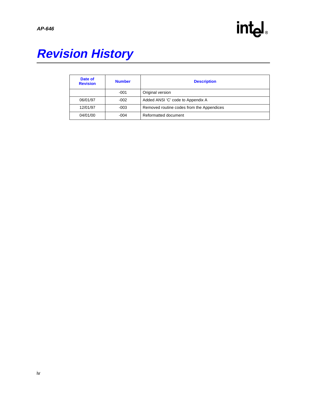

### **Revision History**

| Date of<br><b>Revision</b> | <b>Number</b> | <b>Description</b>                        |
|----------------------------|---------------|-------------------------------------------|
|                            | $-001$        | Original version                          |
| 06/01/97                   | $-002$        | Added ANSI 'C' code to Appendix A         |
| 12/01/97                   | $-003$        | Removed routine codes from the Appendices |
| 04/01/00                   | $-004$        | Reformatted document                      |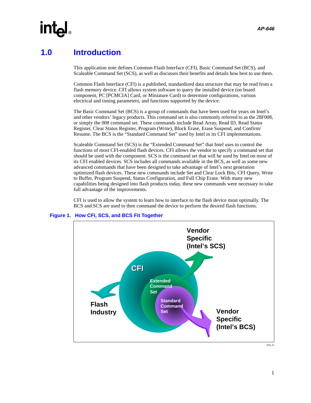#### <span id="page-4-0"></span>**1.0 Introduction**

This application note defines Common Flash Interface (CFI), Basic Command Set (BCS), and Scaleable Command Set (SCS), as well as discusses their benefits and details how best to use them.

Common Flash Interface (CFI) is a published, standardized data structure that may be read from a flash memory device. CFI allows system software to query the installed device (on board component, PC [PCMCIA] Card, or Miniature Card) to determine configurations, various electrical and timing parameters, and functions supported by the device.

The Basic Command Set (BCS) is a group of commands that have been used for years on Intel's and other vendors' legacy products. This command set is also commonly referred to as the 28F008, or simply the 008 command set. These commands include Read Array, Read ID, Read Status Register, Clear Status Register, Program (Write), Block Erase, Erase Suspend, and Confirm/ Resume. The BCS is the "Standard Command Set" used by Intel in its CFI implementations.

Scaleable Command Set (SCS) is the "Extended Command Set" that Intel uses to control the functions of most CFI-enabled flash devices. CFI allows the vendor to specify a command set that should be used with the component. SCS is the command set that will be used by Intel on most of its CFI enabled devices. SCS includes all commands available in the BCS, as well as some new advanced commands that have been designed to take advantage of Intel's next generation optimized flash devices. These new commands include Set and Clear Lock Bits, CFI Query, Write to Buffer, Program Suspend, Status Configuration, and Full Chip Erase. With many new capabilities being designed into flash products today, these new commands were necessary to take full advantage of the improvements.

CFI is used to allow the system to learn how to interface to the flash device most optimally. The BCS and SCS are used to then command the device to perform the desired flash functions.



#### **Figure 1. How CFI, SCS, and BCS Fit Together**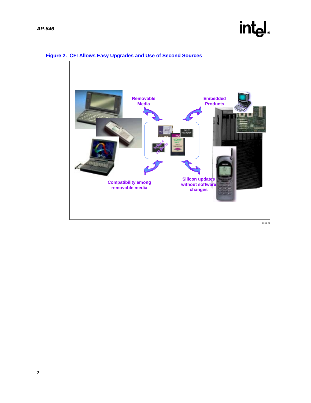### intel.



#### **Figure 2. CFI Allows Easy Upgrades and Use of Second Sources**

2204\_02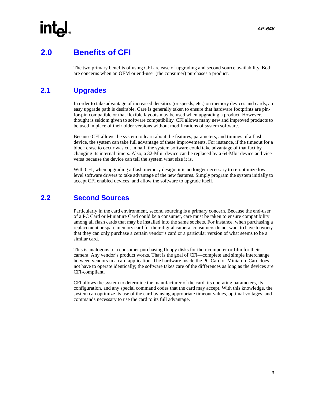### <span id="page-6-0"></span>**2.0 Benefits of CFI**

The two primary benefits of using CFI are ease of upgrading and second source availability. Both are concerns when an OEM or end-user (the consumer) purchases a product.

#### <span id="page-6-1"></span>**2.1 Upgrades**

In order to take advantage of increased densities (or speeds, etc.) on memory devices and cards, an easy upgrade path is desirable. Care is generally taken to ensure that hardware footprints are pinfor-pin compatible or that flexible layouts may be used when upgrading a product. However, thought is seldom given to software compatibility. CFI allows many new and improved products to be used in place of their older versions without modifications of system software.

Because CFI allows the system to learn about the features, parameters, and timings of a flash device, the system can take full advantage of these improvements. For instance, if the timeout for a block erase to occur was cut in half, the system software could take advantage of that fact by changing its internal timers. Also, a 32-Mbit device can be replaced by a 64-Mbit device and vice versa because the device can tell the system what size it is.

With CFI, when upgrading a flash memory design, it is no longer necessary to re-optimize low level software drivers to take advantage of the new features. Simply program the system initially to accept CFI enabled devices, and allow the software to upgrade itself.

#### <span id="page-6-2"></span>**2.2 Second Sources**

Particularly in the card environment, second sourcing is a primary concern. Because the end-user of a PC Card or Miniature Card could be a consumer, care must be taken to ensure compatibility among all flash cards that may be installed into the same sockets. For instance, when purchasing a replacement or spare memory card for their digital camera, consumers do not want to have to worry that they can only purchase a certain vendor's card or a particular version of what seems to be a similar card.

This is analogous to a consumer purchasing floppy disks for their computer or film for their camera. Any vendor's product works. That is the goal of CFI—complete and simple interchange between vendors in a card application. The hardware inside the PC Card or Miniature Card does not have to operate identically; the software takes care of the differences as long as the devices are CFI-compliant.

CFI allows the system to determine the manufacturer of the card, its operating parameters, its configuration, and any special command codes that the card may accept. With this knowledge, the system can optimize its use of the card by using appropriate timeout values, optimal voltages, and commands necessary to use the card to its full advantage.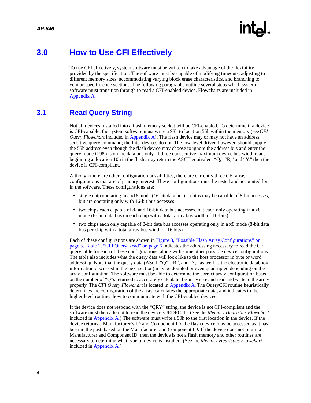

#### <span id="page-7-0"></span>**3.0 How to Use CFI Effectively**

To use CFI effectively, system software must be written to take advantage of the flexibility provided by the specification. The software must be capable of modifying timeouts, adjusting to different memory sizes, accommodating varying block erase characteristics, and branching to vendor-specific code sections. The following paragraphs outline several steps which system software must transition through to read a CFI-enabled device. Flowcharts are included in [Appendix A](#page-15-0).

#### <span id="page-7-1"></span>**3.1 Read Query String**

Not all devices installed into a flash memory socket will be CFI-enabled. To determine if a device is CFI-capable, the system software must write a 98h to location 55h within the memory (see *CFI Query Flowchart* included in [Appendix A](#page-15-0)). The flash device may or may not have an address sensitive query command; the Intel devices do not. The low-level driver, however, should supply the 55h address even though the flash device may choose to ignore the address bus and enter the query mode if 98h is on the data bus only. If three consecutive maximum device bus width reads beginning at location 10h in the flash array return the ASCII equivalent "Q," "R," and "Y," then the device is CFI-compliant.

Although there are other configuration possibilities, there are currently three CFI array configurations that are of primary interest. These configurations must be tested and accounted for in the software. These configurations are:

- single chip operating in a x16 mode (16-bit data bus)—chips may be capable of 8-bit accesses, but are operating only with 16-bit bus accesses
- two chips each capable of 8- and 16-bit data bus accesses, but each only operating in a x8 mode (8- bit data bus on each chip with a total array bus width of 16-bits)
- two chips each only capable of 8-bit data bus accesses operating only in a x8 mode (8-bit data bus per chip with a total array bus width of 16 bits)

Each of these configurations are shown in [Figure 3, "Possible Flash Array Configurations" on](#page-8-0)  [page 5](#page-8-0). [Table 1, "CFI Query Read" on page 6](#page-9-1) indicates the addressing necessary to read the CFI query table for each of these configurations, along with some other possible device configurations. The table also includes what the query data will look like to the host processor in byte or word addressing. Note that the query data (ASCII "Q", "R", and "Y," as well as the electronic databook information discussed in the next section) may be doubled or even quadrupled depending on the array configuration. The software must be able to determine the correct array configuration based on the number of "Q"s returned to accurately calculate the array size and read and write to the array properly. The *CFI Query Flowchart* is located in [Appendix A](#page-15-0). The QueryCFI routine heuristically determines the configuration of the array, calculates the appropriate data, and indicates to the higher level routines how to communicate with the CFI-enabled devices.

If the device does not respond with the "QRY" string, the device is not CFI-compliant and the software must then attempt to read the device's JEDEC ID. (See the *Memory Heuristics Flowchart* included in [Appendix A](#page-15-0).) The software must write a 90h to the first location in the device. If the device returns a Manufacturer's ID and Component ID, the flash device may be accessed as it has been in the past, based on the Manufacturer and Component ID. If the device does not return a Manufacturer and Component ID, then the device is not a flash memory and other routines are necessary to determine what type of device is installed. (See the *Memory Heuristics Flowchart* included in [Appendix A](#page-15-0).)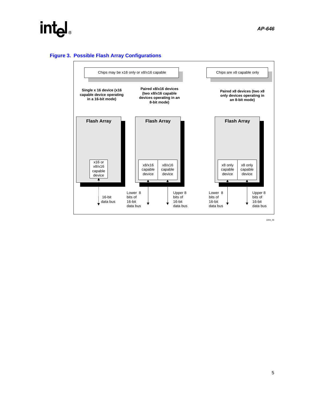### int<sub>el</sub>

<span id="page-8-0"></span>**Figure 3. Possible Flash Array Configurations**



2204\_03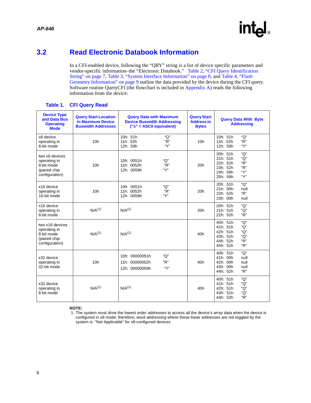6

#### <span id="page-9-0"></span>**3.2 Read Electronic Databook Information**

In a CFI-enabled device, following the "QRY" string is a list of device specific parameters and vendor-specific information–the "Electronic Databook." [Table 2, "CFI Query Identification](#page-10-0)  [String" on page 7](#page-10-0), [Table 3, "System Interface Information" on page 8,](#page-11-0) and [Table 4, "Flash](#page-12-1)  [Geometry Information" on page 9](#page-12-1) outline the data provided by the device during the CFI query. Software routine QueryCFI (the flowchart is included in [Appendix A\)](#page-15-0) reads the following information from the device:

<span id="page-9-1"></span>

| <b>Device Type</b><br>and Data Bus<br><b>Operating</b><br><b>Mode</b>           | <b>Query Start Location</b><br>in Maximum Device<br><b>Buswidth Addresses</b> | <b>Query Data with Maximum</b><br><b>Device Buswidth Addressing</b><br>$("x" = ASCII equivalent)$ | <b>Query Start</b><br><b>Address in</b><br><b>Bytes</b> | <b>Query Data With Byte</b><br><b>Addressing</b>                                                                |
|---------------------------------------------------------------------------------|-------------------------------------------------------------------------------|---------------------------------------------------------------------------------------------------|---------------------------------------------------------|-----------------------------------------------------------------------------------------------------------------|
| x8 device<br>operating in<br>8-bit mode                                         | 10 <sub>h</sub>                                                               | 10h: 51h<br>"O"<br>"R"<br>11h: 52h<br>"Ү"<br>12h: 59h                                             | 10 <sub>h</sub>                                         | "O"<br>10h: 51h<br>"R"<br>11h: 52h<br>"Ү"<br>12h: 59h                                                           |
| two x8 devices<br>operating in<br>8-bit mode<br>(paired chip<br>configuration)  | 10 <sub>h</sub>                                                               | 10h: 0051h<br>"O"<br>"R"<br>11h: 0052h<br>"Ү"<br>12h: 0059h                                       | 20h                                                     | "О"<br>20h: 51h<br>21h: 51h<br>"О"<br>22h: 52h<br>"R"<br>"R"<br>23h: 52h<br>``Y"<br>24h: 59h<br>"Ү"<br>25h: 59h |
| x16 device<br>operating in<br>16-bit mode                                       | 10 <sub>h</sub>                                                               | "O"<br>10h: 0051h<br>"R"<br>11h: 0052h<br>"Ү"<br>12h: 0059h                                       | 20h                                                     | 20h: 51h<br>"Q"<br>21h: 00h<br>null<br>"R"<br>22h: 52h<br>23h: 00h<br>null                                      |
| x16 device<br>operating in<br>8-bit mode                                        | $N/A^{(1)}$                                                                   | $N/A^{(1)}$                                                                                       | 20h                                                     | "Q"<br>20h: 51h<br>"Q"<br>21h: 51h<br>"R"<br>22h: 52h                                                           |
| two x16 devices<br>operating in<br>8-bit mode<br>(paired chip<br>configuration) | $N/A^{(1)}$                                                                   | $N/A^{(1)}$                                                                                       | 40 <sub>h</sub>                                         | 40h: 51h<br>"O"<br>41h: 51h<br>"Q"<br>42h: 51h<br>"Q"<br>43h: 51h<br>"Q"<br>"R"<br>44h: 52h<br>"R"<br>45h: 52h  |
| x32 device<br>operating in<br>32-bit mode                                       | 10 <sub>h</sub>                                                               | "Q"<br>10h: 00000051h<br>"R"<br>11h: 00000052h<br>"Ү"<br>12h: 00000059h                           | 40h                                                     | "Q"<br>40h: 51h<br>41h: 00h<br>null<br>42h: 00h<br>null<br>43h: 00h<br>null<br>" $R$ "<br>44h: 52h              |
| x32 device<br>operating in<br>8-bit mode                                        | $N/A^{(1)}$                                                                   | $N/A^{(1)}$                                                                                       | 40h                                                     | "О"<br>40h: 51h<br>41h: 51h<br>"Q"<br>42h: 51h<br>"Q"<br>43h: 51h<br>"Q"<br>"R"<br>44h: 52h                     |

#### **Table 1. CFI Query Read**

**NOTE:**



<sup>1.</sup> The system must drive the lowest order addresses to access all the device's array data when the device is configured in x8 mode; therefore, word addressing where these lower addresses are not toggled by the system is "Not Applicable" for x8-configured devices.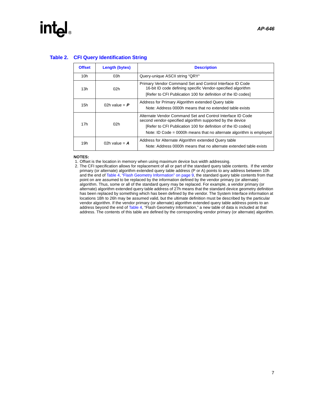## **intel**

#### <span id="page-10-0"></span>**Table 2. CFI Query Identification String**

| <b>Offset</b> | <b>Length (bytes)</b> | <b>Description</b>                                                                                                                                                                                                                                              |
|---------------|-----------------------|-----------------------------------------------------------------------------------------------------------------------------------------------------------------------------------------------------------------------------------------------------------------|
| 10h           | 03h                   | Query-unique ASCII string "QRY"                                                                                                                                                                                                                                 |
| 13h           | 02h                   | Primary Vendor Command Set and Control Interface ID Code<br>16-bit ID code defining specific Vendor-specified algorithm<br>[Refer to CFI Publication 100 for definition of the ID codes]                                                                        |
| 15h           | 02h value = $P$       | Address for Primary Algorithm extended Query table<br>Note: Address 0000h means that no extended table exists                                                                                                                                                   |
| 17h           | 02h                   | Alternate Vendor Command Set and Control Interface ID Code<br>second vendor-specified algorithm supported by the device<br>[Refer to CFI Publication 100 for definition of the ID codes]<br>Note: ID Code = 0000h means that no alternate algorithm is employed |
| 19h           | 02h value = $\bf{A}$  | Address for Alternate Algorithm extended Query table<br>Note: Address 0000h means that no alternate extended table exists                                                                                                                                       |

#### **NOTES:**

1. Offset is the location in memory when using maximum device bus width addressing.

2. The CFI specification allows for replacement of all or part of the standard query table contents. If the vendor primary (or alternate) algorithm extended query table address (P or A) points to any address between 10h and the end of [Table 4, "Flash Geometry Information" on page 9,](#page-12-1) the standard query table contents from that point on are assumed to be replaced by the information defined by the vendor primary (or alternate) algorithm. Thus, some or all of the standard query may be replaced. For example, a vendor primary (or alternate) algorithm extended query table address of 27h means that the standard device geometry definition has been replaced by something which has been defined by the vendor. The System Interface information at locations 1Bh to 26h may be assumed valid, but the ultimate definition must be described by the particular vendor algorithm. If the vendor primary (or alternate) algorithm extended query table address points to an address beyond the end of [Table 4,](#page-12-1) "Flash Geometry Information," a new table of data is included at that address. The contents of this table are defined by the corresponding vendor primary (or alternate) algorithm.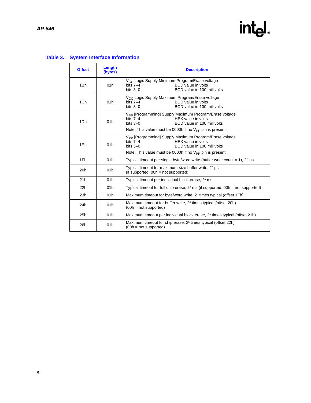## intel.

#### <span id="page-11-0"></span>**Table 3. System Interface Information**

| <b>Offset</b> | Length<br>(bytes) | <b>Description</b>                                                                                                                                                                                                  |
|---------------|-------------------|---------------------------------------------------------------------------------------------------------------------------------------------------------------------------------------------------------------------|
| 1Bh           | 01h               | V <sub>CC</sub> Logic Supply Minimum Program/Erase voltage<br><b>BCD</b> value in volts<br>bits $7-4$<br>BCD value in 100 millivolts<br>bits $3-0$                                                                  |
| 1Ch           | 01h               | V <sub>CC</sub> Logic Supply Maximum Program/Erase voltage<br><b>BCD</b> value in volts<br>bits $7-4$<br>bits $3-0$<br>BCD value in 100 millivolts                                                                  |
| 1Dh           | 01h               | V <sub>PP</sub> [Programming] Supply Maximum Program/Erase voltage<br>bits $7-4$<br>HEX value in volts<br>bits $3-0$<br>BCD value in 100 millivolts<br>Note: This value must be 0000h if no $V_{PP}$ pin is present |
| 1Eh           | 01h               | V <sub>PP</sub> [Programming] Supply Maximum Program/Erase voltage<br>bits $7-4$<br>HEX value in volts<br>bits $3-0$<br>BCD value in 100 millivolts<br>Note: This value must be 0000h if no $V_{PP}$ pin is present |
| 1Fh           | 01h               | Typical timeout per single byte/word write (buffer write count = 1), $2^n$ µs                                                                                                                                       |
| 20h           | 01h               | Typical timeout for maximum-size buffer write, $2n$ µs<br>(if supported; $00h = not supported$ )                                                                                                                    |
| 21h           | 01h               | Typical timeout per individual block erase, 2 <sup>n</sup> ms                                                                                                                                                       |
| 22h           | 01h               | Typical timeout for full chip erase, $2^n$ ms (if supported; $00h = not$ supported)                                                                                                                                 |
| 23h           | 01h               | Maximum timeout for byte/word write, 2 <sup>n</sup> times typical (offset 1Fh)                                                                                                                                      |
| 24h           | 01h               | Maximum timeout for buffer write, 2 <sup>n</sup> times typical (offset 20h)<br>$(00h = not supported)$                                                                                                              |
| 25h           | 01h               | Maximum timeout per individual block erase, 2 <sup>n</sup> times typical (offset 21h)                                                                                                                               |
| 26h           | 01h               | Maximum timeout for chip erase, 2 <sup>n</sup> times typical (offset 22h)<br>$(00h = not supported)$                                                                                                                |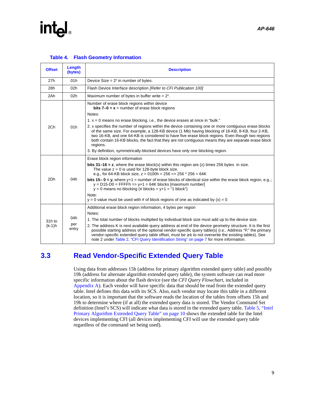### **intel**

<span id="page-12-1"></span>

| <b>Offset</b>      | Length<br>(bytes)   | <b>Description</b>                                                                                                                                                                                                                                                                                                                                                                                                                                                                                                                                                                                           |
|--------------------|---------------------|--------------------------------------------------------------------------------------------------------------------------------------------------------------------------------------------------------------------------------------------------------------------------------------------------------------------------------------------------------------------------------------------------------------------------------------------------------------------------------------------------------------------------------------------------------------------------------------------------------------|
| 27h                | 01h                 | Device Size = $2^n$ in number of bytes.                                                                                                                                                                                                                                                                                                                                                                                                                                                                                                                                                                      |
| 28h                | 02 <sub>h</sub>     | Flash Device Interface description <i>[Refer to CFI Publication 100]</i>                                                                                                                                                                                                                                                                                                                                                                                                                                                                                                                                     |
| 2Ah                | 02h                 | Maximum number of bytes in buffer write $= 2n$ .                                                                                                                                                                                                                                                                                                                                                                                                                                                                                                                                                             |
|                    |                     | Number of erase block regions within device<br><b>bits 7-0 = x</b> = number of erase block regions<br>Notes:                                                                                                                                                                                                                                                                                                                                                                                                                                                                                                 |
|                    |                     | 1. $x = 0$ means no erase blocking, i.e., the device erases at once in "bulk."                                                                                                                                                                                                                                                                                                                                                                                                                                                                                                                               |
| 2Ch                | 01h                 | 2. x specifies the number of regions within the device containing one or more contiguous erase blocks<br>of the same size. For example, a 128-KB device (1 Mb) having blocking of 16-KB, 8-KB, four 2-KB,<br>two 16-KB, and one 64-KB is considered to have five erase block regions. Even though two regions<br>both contain 16-KB blocks, the fact that they are not contiguous means they are separate erase block<br>regions.                                                                                                                                                                            |
|                    |                     | 3. By definition, symmetrically-blocked devices have only one blocking region.                                                                                                                                                                                                                                                                                                                                                                                                                                                                                                                               |
| 2Dh                | 04h                 | Erase block region information<br><b>bits 31–16 = z</b> , where the erase block(s) within this region are (z) times 256 bytes in size.<br>The value $z = 0$ is used for 128-byte block size.<br>e.g., for 64-KB block size, $z = 0100h = 256 \Rightarrow 256 * 256 = 64K$<br><b>bits 15–0 = y</b> , where y+1 = number of erase blocks of identical size within the erase block region, e.g.,:<br>$y = D15-D0 = FFFFh \Rightarrow y+1 = 64K$ blocks [maximum number]<br>$y = 0$ means no blocking (# blocks = y+1 = "1 block")<br>Note:                                                                      |
|                    |                     | $y = 0$ value must be used with # of block regions of one as indicated by $(x) = 0$                                                                                                                                                                                                                                                                                                                                                                                                                                                                                                                          |
| 31h to<br>$(k-1)h$ | 04h<br>per<br>entry | Additional erase block region information, 4 bytes per region<br>Notes:<br>1. The total number of blocks multiplied by individual block size must add up to the device size.<br>2. The address K is next available query address at end of the device geometry structure. It is the first<br>possible starting address of the optional vendor-specific query table(s) (i.e., Address "P," the primary<br>vendor-specific extended query table offset, must be $\geq$ k to not overwrite the existing tables). See<br>note 2 under Table 2, "CFI Query Identification String" on page 7 for more information. |

#### **Table 4. Flash Geometry Information**

#### <span id="page-12-0"></span>**3.3 Read Vendor-Specific Extended Query Table**

Using data from addresses 15h (address for primary algorithm extended query table) and possibly 19h (address for alternate algorithm extended query table), the system software can read more specific information about the flash device (see the *CFI Query Flowchart*, included in [Appendix A](#page-15-0)). Each vendor will have specific data that should be read from the extended query table. Intel defines this data with its SCS. Also, each vendor may locate this table in a different location, so it is important that the software reads the location of the tables from offsets 15h and 19h to determine where (if at all) the extended query data is stored. The Vendor Command Set definition (Intel's SCS) will indicate what data is stored in the extended query table. [Table 5, "Intel](#page-13-0)  [Primary Algorithm Extended Query Table" on page 10](#page-13-0) shows the extended table for the Intel devices implementing CFI (all devices implementing CFI will use the extended query table regardless of the command set being used).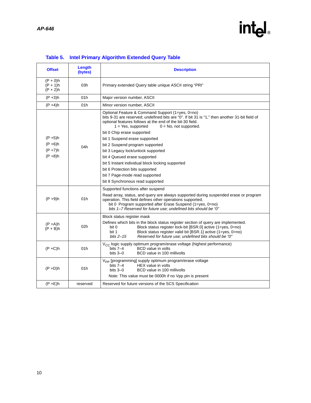### intel.

<span id="page-13-0"></span>

| <b>Offset</b>                                        | Length<br>(bytes) | <b>Description</b>                                                                                                                                                                                                                                                                                                                                                                                                                                                                                                                                                                                         |
|------------------------------------------------------|-------------------|------------------------------------------------------------------------------------------------------------------------------------------------------------------------------------------------------------------------------------------------------------------------------------------------------------------------------------------------------------------------------------------------------------------------------------------------------------------------------------------------------------------------------------------------------------------------------------------------------------|
| $(P + 0)h$<br>$(P + 1)h$<br>$(P + 2)h$               | 03h               | Primary extended Query table unique ASCII string "PRI"                                                                                                                                                                                                                                                                                                                                                                                                                                                                                                                                                     |
| $(P + 3)h$                                           | 01h               | Major version number, ASCII                                                                                                                                                                                                                                                                                                                                                                                                                                                                                                                                                                                |
| $(P + 4)h$                                           | 01h               | Minor version number, ASCII                                                                                                                                                                                                                                                                                                                                                                                                                                                                                                                                                                                |
| $(P + 5)h$<br>$(P + 6)h$<br>$(P + 7)h$<br>$(P + 8)h$ | 04h               | Optional Feature & Command Support (1=yes, 0=no)<br>bits 9-31 are reserved; undefined bits are "0". If bit 31 is "1," then another 31-bit field of<br>optional features follows at the end of the bit-30 field.<br>$1 = Yes$ , supported<br>$0 = No$ , not supported.<br>bit 0 Chip erase supported<br>bit 1 Suspend erase supported<br>bit 2 Suspend program supported<br>bit 3 Legacy lock/unlock supported<br>bit 4 Queued erase supported<br>bit 5 Instant individual block locking supported<br>bit 6 Protection bits supported<br>bit 7 Page-mode read supported<br>bit 8 Synchronous read supported |
| $(P + 9)h$                                           | 01h               | Supported functions after suspend<br>Read array, status, and query are always supported during suspended erase or program<br>operation. This field defines other operations supported.<br>bit 0 Program supported after Erase Suspend (1=yes, 0=no)<br>bits 1-7 Reserved for future use; undefined bits should be "0"                                                                                                                                                                                                                                                                                      |
| $(P + A)h$<br>$(P + B)h$                             | 02h               | Block status register mask<br>Defines which bits in the block status register section of query are implemented.<br>Block status register lock-bit [BSR.0] active (1=yes, 0=no)<br>bit 0<br>bit 1<br>Block status register valid bit [BSR.1] active (1=yes, 0=no)<br>bits $2-15$<br>Reserved for future use; undefined bits should be "0"                                                                                                                                                                                                                                                                   |
| $(P+C)h$                                             | 01h               | V <sub>CC</sub> logic supply optimum program/erase voltage (highest performance)<br>bits $7-4$<br><b>BCD</b> value in volts<br>bits $3-0$<br>BCD value in 100 millivolts                                                                                                                                                                                                                                                                                                                                                                                                                                   |
| $(P + D)h$                                           | 01h               | V <sub>PP</sub> [programming] supply optimum program/erase voltage<br>HEX value in volts<br>bits $7-4$<br>bits $3-0$<br>BCD value in 100 millivolts<br>Note: This value must be 0000h if no Vpp pin is present                                                                                                                                                                                                                                                                                                                                                                                             |
| $(P + E)$ h                                          | reserved          | Reserved for future versions of the SCS Specification                                                                                                                                                                                                                                                                                                                                                                                                                                                                                                                                                      |

#### **Table 5. Intel Primary Algorithm Extended Query Table**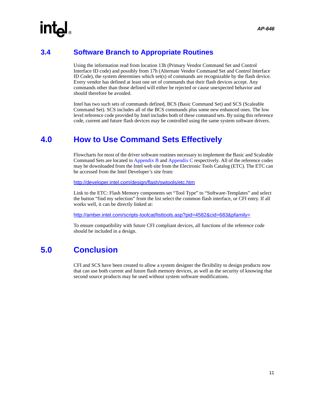#### <span id="page-14-0"></span>**3.4 Software Branch to Appropriate Routines**

Using the information read from location 13h (Primary Vendor Command Set and Control Interface ID code) and possibly from 17h (Alternate Vendor Command Set and Control Interface ID Code), the system determines which set(s) of commands are recognizable by the flash device. Every vendor has defined at least one set of commands that their flash devices accept. Any commands other than those defined will either be rejected or cause unexpected behavior and should therefore be avoided.

Intel has two such sets of commands defined, BCS (Basic Command Set) and SCS (Scaleable Command Set). SCS includes all of the BCS commands plus some new enhanced ones. The low level reference code provided by Intel includes both of these command sets. By using this reference code, current and future flash devices may be controlled using the same system software drivers.

#### <span id="page-14-1"></span>**4.0 How to Use Command Sets Effectively**

Flowcharts for most of the driver software routines necessary to implement the Basic and Scaleable Command Sets are located in [Appendix B](#page-18-0) and [Appendix C](#page-22-0) respectively. All of the reference codes may be downloaded from the Intel web site from the Electronic Tools Catalog (ETC). The ETC can be accessed from the Intel Developer's site from:

http://developer.intel.com/design/flash/swtools/etc.htm

Link to the ETC: Flash Memory components set "Tool Type" to "Software-Templates" and select the button "find my selection" from the list select the common flash interface, or CFI entry. If all works well, it can be directly linked at:

http://amber.intel.com/scripts-toolcat/listtools.asp?pid=4582&cid=683&pfamily=

To ensure compatibility with future CFI compliant devices, all functions of the reference code should be included in a design.

#### <span id="page-14-2"></span>**5.0 Conclusion**

CFI and SCS have been created to allow a system designer the flexibility to design products now that can use both current and future flash memory devices, as well as the security of knowing that second source products may be used without system software modifications.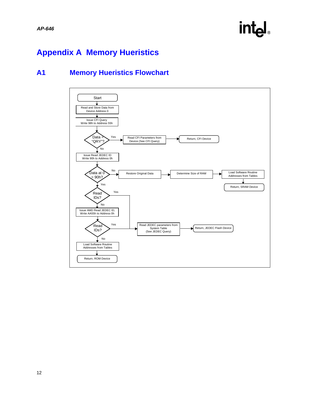### **inte**

#### <span id="page-15-0"></span>**Appendix A Memory Hueristics**

#### <span id="page-15-1"></span>**A1 Memory Hueristics Flowchart**

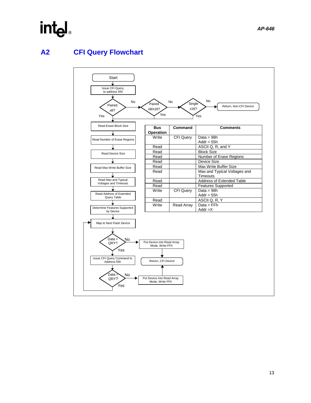### int<sub>el</sub>

#### <span id="page-16-0"></span>**A2 CFI Query Flowchart**

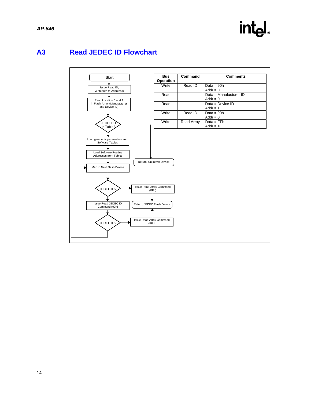

#### <span id="page-17-0"></span>**A3 Read JEDEC ID Flowchart**

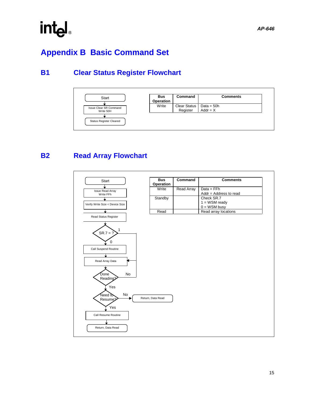### <span id="page-18-0"></span>**Appendix B Basic Command Set**

#### <span id="page-18-1"></span>**B1 Clear Status Register Flowchart**



<span id="page-18-2"></span>**B2 Read Array Flowchart**

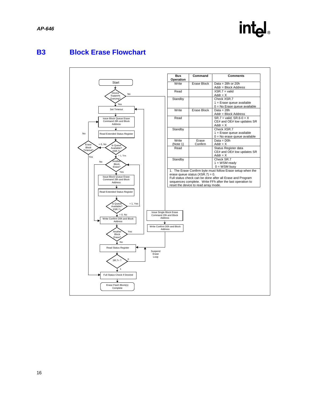

#### <span id="page-19-0"></span>**B3 Block Erase Flowchart**

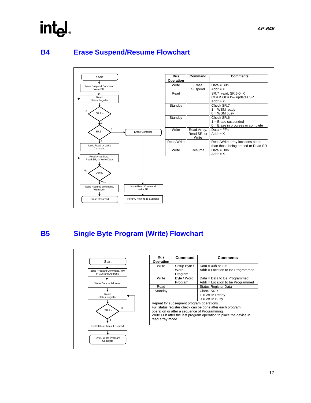#### <span id="page-20-0"></span>**B4 Erase Suspend/Resume Flowchart**



**intel** 

#### <span id="page-20-1"></span>**B5 Single Byte Program (Write) Flowchart**

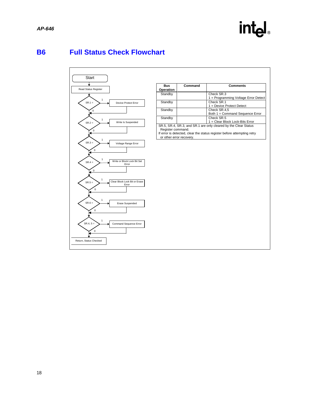#### <span id="page-21-0"></span>**B6 Full Status Check Flowchart**

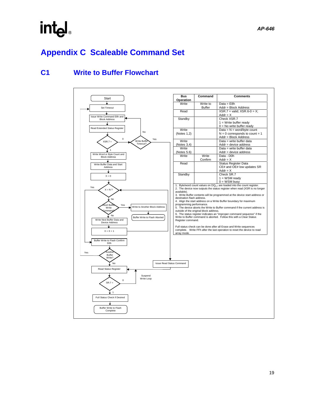### intel

### <span id="page-22-0"></span>**Appendix C Scaleable Command Set**

#### <span id="page-22-1"></span>**C1 Write to Buffer Flowchart**

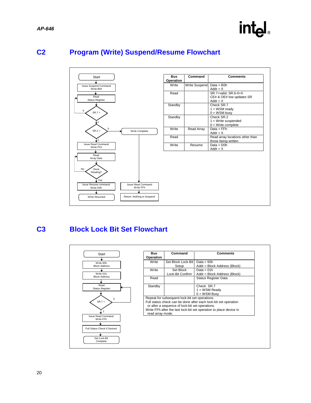

#### <span id="page-23-0"></span>**C2 Program (Write) Suspend/Resume Flowchart**



#### <span id="page-23-1"></span>**C3 Block Lock Bit Set Flowchart**